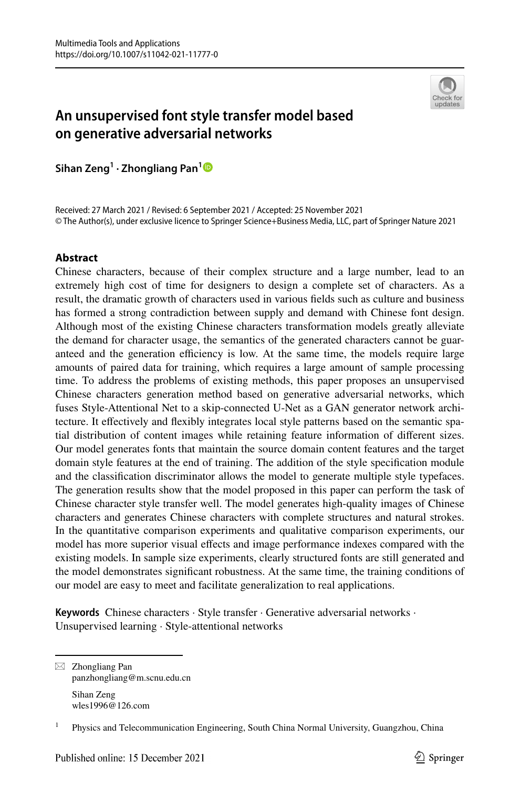

# **An unsupervised font style transfer model based on generative adversarial networks**

**Sihan Zeng<sup>1</sup> · Zhongliang Pan[1](http://orcid.org/0000-0003-4382-0634)**

Received: 27 March 2021 / Revised: 6 September 2021 / Accepted: 25 November 2021 © The Author(s), under exclusive licence to Springer Science+Business Media, LLC, part of Springer Nature 2021

# **Abstract**

Chinese characters, because of their complex structure and a large number, lead to an extremely high cost of time for designers to design a complete set of characters. As a result, the dramatic growth of characters used in various fields such as culture and business has formed a strong contradiction between supply and demand with Chinese font design. Although most of the existing Chinese characters transformation models greatly alleviate the demand for character usage, the semantics of the generated characters cannot be guaranteed and the generation efficiency is low. At the same time, the models require large amounts of paired data for training, which requires a large amount of sample processing time. To address the problems of existing methods, this paper proposes an unsupervised Chinese characters generation method based on generative adversarial networks, which fuses Style-Attentional Net to a skip-connected U-Net as a GAN generator network architecture. It effectively and flexibly integrates local style patterns based on the semantic spatial distribution of content images while retaining feature information of different sizes. Our model generates fonts that maintain the source domain content features and the target domain style features at the end of training. The addition of the style specification module and the classification discriminator allows the model to generate multiple style typefaces. The generation results show that the model proposed in this paper can perform the task of Chinese character style transfer well. The model generates high-quality images of Chinese characters and generates Chinese characters with complete structures and natural strokes. In the quantitative comparison experiments and qualitative comparison experiments, our model has more superior visual effects and image performance indexes compared with the existing models. In sample size experiments, clearly structured fonts are still generated and the model demonstrates significant robustness. At the same time, the training conditions of our model are easy to meet and facilitate generalization to real applications.

**Keywords** Chinese characters · Style transfer · Generative adversarial networks · Unsupervised learning · Style-attentional networks

 $\boxtimes$  Zhongliang Pan panzhongliang@m.scnu.edu.cn Sihan Zeng wles1996@126.com

<sup>1</sup> Physics and Telecommunication Engineering, South China Normal University, Guangzhou, China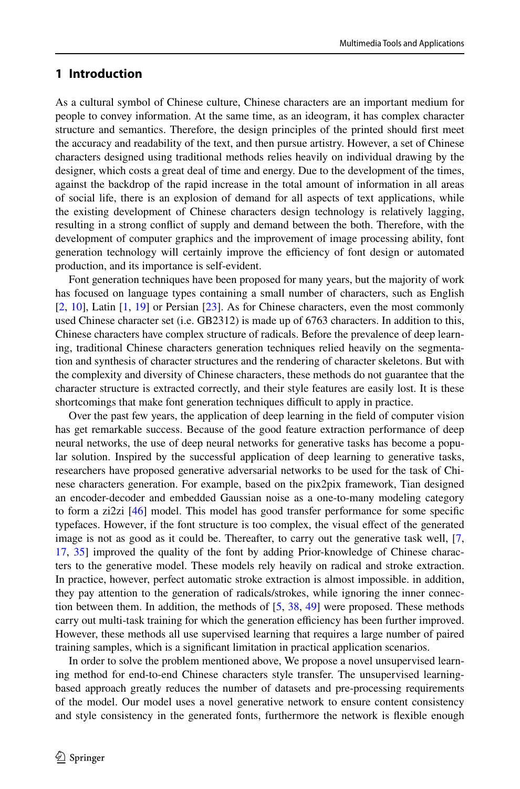# **1 Introduction**

As a cultural symbol of Chinese culture, Chinese characters are an important medium for people to convey information. At the same time, as an ideogram, it has complex character structure and semantics. Therefore, the design principles of the printed should first meet the accuracy and readability of the text, and then pursue artistry. However, a set of Chinese characters designed using traditional methods relies heavily on individual drawing by the designer, which costs a great deal of time and energy. Due to the development of the times, against the backdrop of the rapid increase in the total amount of information in all areas of social life, there is an explosion of demand for all aspects of text applications, while the existing development of Chinese characters design technology is relatively lagging, resulting in a strong conflict of supply and demand between the both. Therefore, with the development of computer graphics and the improvement of image processing ability, font generation technology will certainly improve the efficiency of font design or automated production, and its importance is self-evident.

Font generation techniques have been proposed for many years, but the majority of work has focused on language types containing a small number of characters, such as English  $[2, 10]$  $[2, 10]$  $[2, 10]$  $[2, 10]$  $[2, 10]$ , Latin  $[1, 19]$  $[1, 19]$  $[1, 19]$  $[1, 19]$  $[1, 19]$  or Persian  $[23]$ . As for Chinese characters, even the most commonly used Chinese character set (i.e. GB2312) is made up of 6763 characters. In addition to this, Chinese characters have complex structure of radicals. Before the prevalence of deep learning, traditional Chinese characters generation techniques relied heavily on the segmentation and synthesis of character structures and the rendering of character skeletons. But with the complexity and diversity of Chinese characters, these methods do not guarantee that the character structure is extracted correctly, and their style features are easily lost. It is these shortcomings that make font generation techniques difficult to apply in practice.

Over the past few years, the application of deep learning in the field of computer vision has get remarkable success. Because of the good feature extraction performance of deep neural networks, the use of deep neural networks for generative tasks has become a popular solution. Inspired by the successful application of deep learning to generative tasks, researchers have proposed generative adversarial networks to be used for the task of Chinese characters generation. For example, based on the pix2pix framework, Tian designed an encoder-decoder and embedded Gaussian noise as a one-to-many modeling category to form a zi2zi [[46](#page-19-0)] model. This model has good transfer performance for some specific typefaces. However, if the font structure is too complex, the visual effect of the generated image is not as good as it could be. Thereafter, to carry out the generative task well, [\[7](#page-17-2), [17](#page-18-3), [35\]](#page-19-1) improved the quality of the font by adding Prior-knowledge of Chinese characters to the generative model. These models rely heavily on radical and stroke extraction. In practice, however, perfect automatic stroke extraction is almost impossible. in addition, they pay attention to the generation of radicals/strokes, while ignoring the inner connection between them. In addition, the methods of [[5](#page-17-3), [38](#page-19-2), [49\]](#page-19-3) were proposed. These methods carry out multi-task training for which the generation efficiency has been further improved. However, these methods all use supervised learning that requires a large number of paired training samples, which is a significant limitation in practical application scenarios.

In order to solve the problem mentioned above, We propose a novel unsupervised learning method for end-to-end Chinese characters style transfer. The unsupervised learningbased approach greatly reduces the number of datasets and pre-processing requirements of the model. Our model uses a novel generative network to ensure content consistency and style consistency in the generated fonts, furthermore the network is flexible enough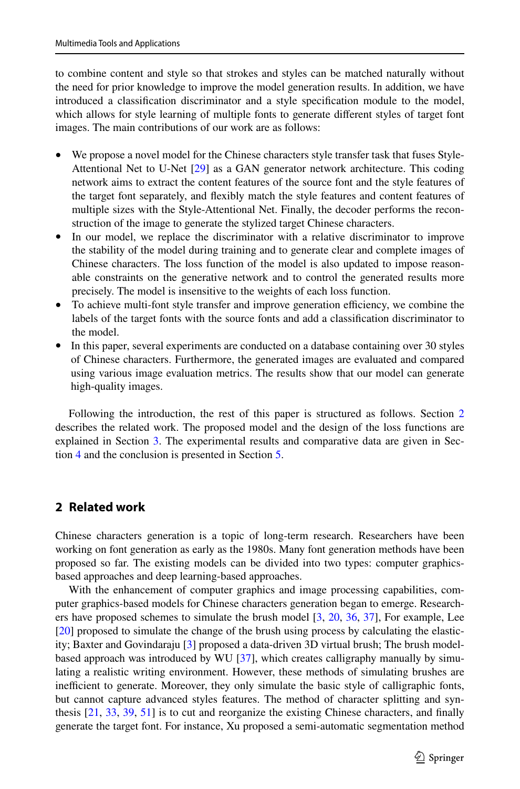to combine content and style so that strokes and styles can be matched naturally without the need for prior knowledge to improve the model generation results. In addition, we have introduced a classification discriminator and a style specification module to the model, which allows for style learning of multiple fonts to generate different styles of target font images. The main contributions of our work are as follows:

- We propose a novel model for the Chinese characters style transfer task that fuses Style-Attentional Net to U-Net [\[29\]](#page-18-4) as a GAN generator network architecture. This coding network aims to extract the content features of the source font and the style features of the target font separately, and flexibly match the style features and content features of multiple sizes with the Style-Attentional Net. Finally, the decoder performs the reconstruction of the image to generate the stylized target Chinese characters.
- In our model, we replace the discriminator with a relative discriminator to improve the stability of the model during training and to generate clear and complete images of Chinese characters. The loss function of the model is also updated to impose reasonable constraints on the generative network and to control the generated results more precisely. The model is insensitive to the weights of each loss function.
- To achieve multi-font style transfer and improve generation efficiency, we combine the labels of the target fonts with the source fonts and add a classification discriminator to the model.
- In this paper, several experiments are conducted on a database containing over 30 styles of Chinese characters. Furthermore, the generated images are evaluated and compared using various image evaluation metrics. The results show that our model can generate high-quality images.

Following the introduction, the rest of this paper is structured as follows. Section [2](#page-2-0) describes the related work. The proposed model and the design of the loss functions are explained in Section [3](#page-4-0). The experimental results and comparative data are given in Section [4](#page-10-0) and the conclusion is presented in Section [5.](#page-17-4)

# <span id="page-2-0"></span>**2 Related work**

Chinese characters generation is a topic of long-term research. Researchers have been working on font generation as early as the 1980s. Many font generation methods have been proposed so far. The existing models can be divided into two types: computer graphicsbased approaches and deep learning-based approaches.

With the enhancement of computer graphics and image processing capabilities, computer graphics-based models for Chinese characters generation began to emerge. Research-ers have proposed schemes to simulate the brush model [[3](#page-17-5), [20](#page-18-5), [36,](#page-19-4) [37\]](#page-19-5), For example, Lee [[20](#page-18-5)] proposed to simulate the change of the brush using process by calculating the elasticity; Baxter and Govindaraju [[3\]](#page-17-5) proposed a data-driven 3D virtual brush; The brush modelbased approach was introduced by WU [[37](#page-19-5)], which creates calligraphy manually by simulating a realistic writing environment. However, these methods of simulating brushes are inefficient to generate. Moreover, they only simulate the basic style of calligraphic fonts, but cannot capture advanced styles features. The method of character splitting and synthesis [[21](#page-18-6), [33,](#page-18-7) [39,](#page-19-6) [51](#page-19-7)] is to cut and reorganize the existing Chinese characters, and finally generate the target font. For instance, Xu proposed a semi-automatic segmentation method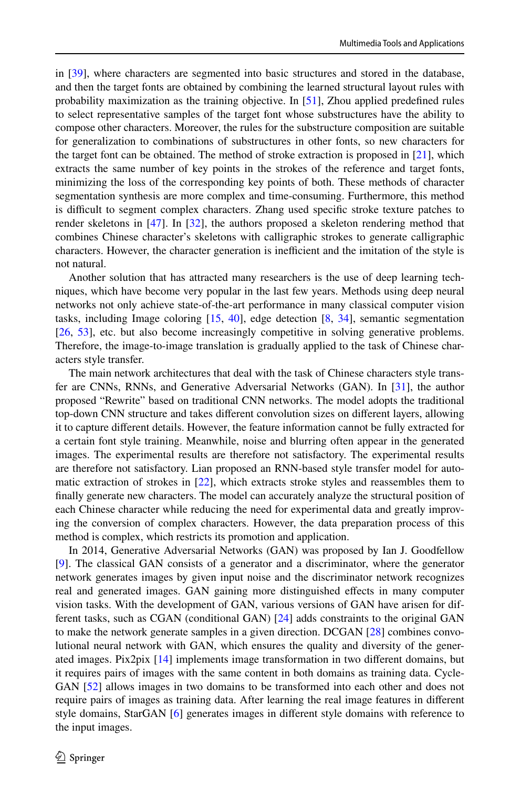in [[39](#page-19-6)], where characters are segmented into basic structures and stored in the database, and then the target fonts are obtained by combining the learned structural layout rules with probability maximization as the training objective. In [[51](#page-19-7)], Zhou applied predefined rules to select representative samples of the target font whose substructures have the ability to compose other characters. Moreover, the rules for the substructure composition are suitable for generalization to combinations of substructures in other fonts, so new characters for the target font can be obtained. The method of stroke extraction is proposed in [[21](#page-18-6)], which extracts the same number of key points in the strokes of the reference and target fonts, minimizing the loss of the corresponding key points of both. These methods of character segmentation synthesis are more complex and time-consuming. Furthermore, this method is difficult to segment complex characters. Zhang used specific stroke texture patches to render skeletons in [\[47\]](#page-19-8). In [\[32\]](#page-18-8), the authors proposed a skeleton rendering method that combines Chinese character's skeletons with calligraphic strokes to generate calligraphic characters. However, the character generation is inefficient and the imitation of the style is not natural.

Another solution that has attracted many researchers is the use of deep learning techniques, which have become very popular in the last few years. Methods using deep neural networks not only achieve state-of-the-art performance in many classical computer vision tasks, including Image coloring [[15](#page-18-9), [40\]](#page-19-9), edge detection [[8,](#page-18-10) [34](#page-18-11)], semantic segmentation [[26](#page-18-12), [53](#page-19-10)], etc. but also become increasingly competitive in solving generative problems. Therefore, the image-to-image translation is gradually applied to the task of Chinese characters style transfer.

The main network architectures that deal with the task of Chinese characters style transfer are CNNs, RNNs, and Generative Adversarial Networks (GAN). In [\[31\]](#page-18-13), the author proposed "Rewrite" based on traditional CNN networks. The model adopts the traditional top-down CNN structure and takes different convolution sizes on different layers, allowing it to capture different details. However, the feature information cannot be fully extracted for a certain font style training. Meanwhile, noise and blurring often appear in the generated images. The experimental results are therefore not satisfactory. The experimental results are therefore not satisfactory. Lian proposed an RNN-based style transfer model for automatic extraction of strokes in [[22](#page-18-14)], which extracts stroke styles and reassembles them to finally generate new characters. The model can accurately analyze the structural position of each Chinese character while reducing the need for experimental data and greatly improving the conversion of complex characters. However, the data preparation process of this method is complex, which restricts its promotion and application.

In 2014, Generative Adversarial Networks (GAN) was proposed by Ian J. Goodfellow [[9\]](#page-18-15). The classical GAN consists of a generator and a discriminator, where the generator network generates images by given input noise and the discriminator network recognizes real and generated images. GAN gaining more distinguished effects in many computer vision tasks. With the development of GAN, various versions of GAN have arisen for different tasks, such as CGAN (conditional GAN) [[24](#page-18-16)] adds constraints to the original GAN to make the network generate samples in a given direction. DCGAN [[28](#page-18-17)] combines convolutional neural network with GAN, which ensures the quality and diversity of the generated images. Pix2pix [\[14\]](#page-18-18) implements image transformation in two different domains, but it requires pairs of images with the same content in both domains as training data. Cycle-GAN [[52](#page-19-11)] allows images in two domains to be transformed into each other and does not require pairs of images as training data. After learning the real image features in different style domains, StarGAN [[6\]](#page-17-6) generates images in different style domains with reference to the input images.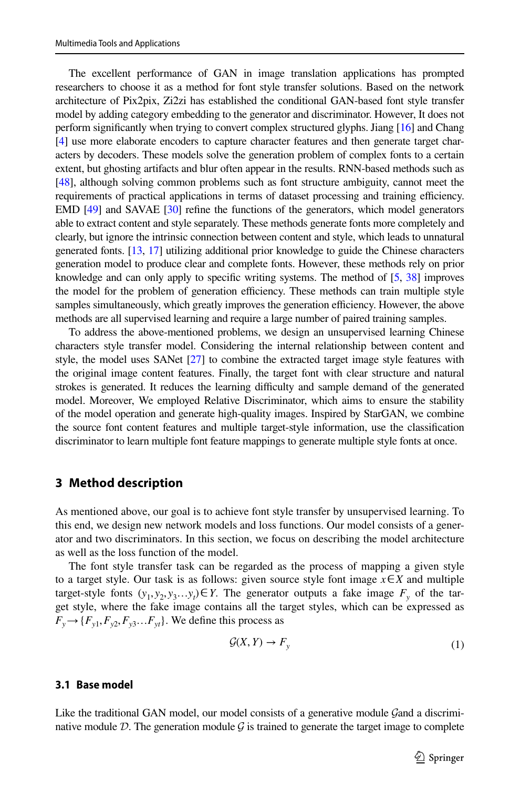The excellent performance of GAN in image translation applications has prompted researchers to choose it as a method for font style transfer solutions. Based on the network architecture of Pix2pix, Zi2zi has established the conditional GAN-based font style transfer model by adding category embedding to the generator and discriminator. However, It does not perform significantly when trying to convert complex structured glyphs. Jiang [\[16](#page-18-19)] and Chang [[4](#page-17-7)] use more elaborate encoders to capture character features and then generate target characters by decoders. These models solve the generation problem of complex fonts to a certain extent, but ghosting artifacts and blur often appear in the results. RNN-based methods such as [[48](#page-19-12)], although solving common problems such as font structure ambiguity, cannot meet the requirements of practical applications in terms of dataset processing and training efficiency. EMD [[49](#page-19-3)] and SAVAE [\[30\]](#page-18-20) refine the functions of the generators, which model generators able to extract content and style separately. These methods generate fonts more completely and clearly, but ignore the intrinsic connection between content and style, which leads to unnatural generated fonts. [\[13](#page-18-21), [17\]](#page-18-3) utilizing additional prior knowledge to guide the Chinese characters generation model to produce clear and complete fonts. However, these methods rely on prior knowledge and can only apply to specific writing systems. The method of  $[5, 38]$  $[5, 38]$  $[5, 38]$  $[5, 38]$  improves the model for the problem of generation efficiency. These methods can train multiple style samples simultaneously, which greatly improves the generation efficiency. However, the above methods are all supervised learning and require a large number of paired training samples.

To address the above-mentioned problems, we design an unsupervised learning Chinese characters style transfer model. Considering the internal relationship between content and style, the model uses SANet [\[27](#page-18-22)] to combine the extracted target image style features with the original image content features. Finally, the target font with clear structure and natural strokes is generated. It reduces the learning difficulty and sample demand of the generated model. Moreover, We employed Relative Discriminator, which aims to ensure the stability of the model operation and generate high-quality images. Inspired by StarGAN, we combine the source font content features and multiple target-style information, use the classification discriminator to learn multiple font feature mappings to generate multiple style fonts at once.

### <span id="page-4-0"></span>**3 Method description**

As mentioned above, our goal is to achieve font style transfer by unsupervised learning. To this end, we design new network models and loss functions. Our model consists of a generator and two discriminators. In this section, we focus on describing the model architecture as well as the loss function of the model.

The font style transfer task can be regarded as the process of mapping a given style to a target style. Our task is as follows: given source style font image *x*∈*X* and multiple target-style fonts  $(y_1, y_2, y_3 \dots y_t) \in Y$ . The generator outputs a fake image  $F_y$  of the target style, where the fake image contains all the target styles, which can be expressed as  $F_y \rightarrow \{F_{y1}, F_{y2}, F_{y3} \dots F_{yt}\}$ . We define this process as

$$
\mathcal{G}(X,Y) \to F_y \tag{1}
$$

### **3.1 Base model**

Like the traditional GAN model, our model consists of a generative module Gand a discriminative module D. The generation module  $\mathcal G$  is trained to generate the target image to complete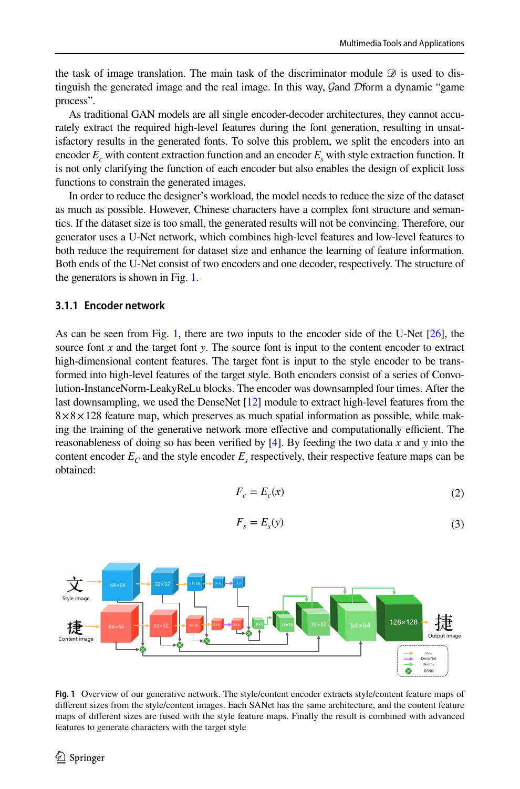the task of image translation. The main task of the discriminator module  $\mathscr D$  is used to distinguish the generated image and the real image. In this way, Gand Dform a dynamic "game process".

As traditional GAN models are all single encoder-decoder architectures, they cannot accurately extract the required high-level features during the font generation, resulting in unsatisfactory results in the generated fonts. To solve this problem, we split the encoders into an encoder  $E_c$  with content extraction function and an encoder  $E_s$  with style extraction function. It is not only clarifying the function of each encoder but also enables the design of explicit loss functions to constrain the generated images.

In order to reduce the designer's workload, the model needs to reduce the size of the dataset as much as possible. However, Chinese characters have a complex font structure and semantics. If the dataset size is too small, the generated results will not be convincing. Therefore, our generator uses a U-Net network, which combines high-level features and low-level features to both reduce the requirement for dataset size and enhance the learning of feature information. Both ends of the U-Net consist of two encoders and one decoder, respectively. The structure of the generators is shown in Fig. [1.](#page-5-0)

### **3.1.1 Encoder network**

As can be seen from Fig. [1,](#page-5-0) there are two inputs to the encoder side of the U-Net [[26\]](#page-18-12), the source font *x* and the target font *y*. The source font is input to the content encoder to extract high-dimensional content features. The target font is input to the style encoder to be transformed into high-level features of the target style. Both encoders consist of a series of Convolution-InstanceNorm-LeakyReLu blocks. The encoder was downsampled four times. After the last downsampling, we used the DenseNet [[12\]](#page-18-23) module to extract high-level features from the  $8 \times 8 \times 128$  feature map, which preserves as much spatial information as possible, while making the training of the generative network more effective and computationally efficient. The reasonableness of doing so has been verified by [\[4\]](#page-17-7). By feeding the two data *x* and *y* into the content encoder  $E_c$  and the style encoder  $E_s$  respectively, their respective feature maps can be obtained:

$$
F_c = E_c(x) \tag{2}
$$

$$
F_s = E_s(y) \tag{3}
$$



<span id="page-5-0"></span>Fig. 1 Overview of our generative network. The style/content encoder extracts style/content feature maps of different sizes from the style/content images. Each SANet has the same architecture, and the content feature maps of different sizes are fused with the style feature maps. Finally the result is combined with advanced features to generate characters with the target style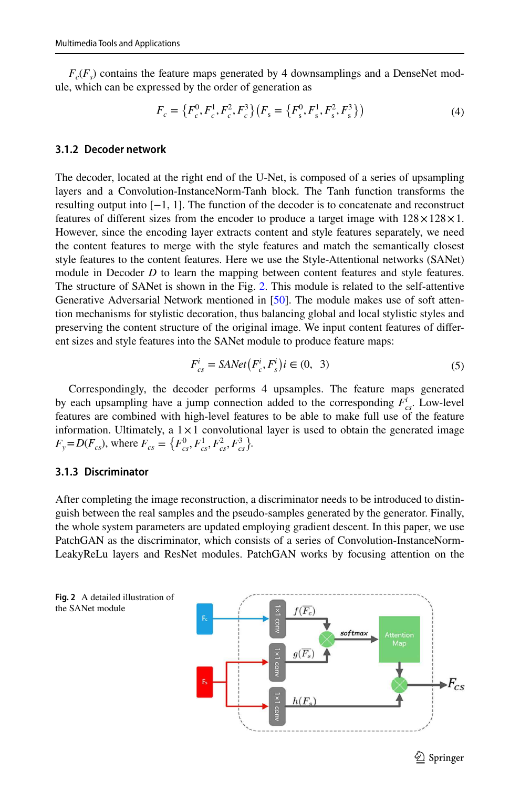$F_c(F_s)$  contains the feature maps generated by 4 downsamplings and a DenseNet module, which can be expressed by the order of generation as

$$
F_c = \left\{ F_c^0, F_c^1, F_c^2, F_c^3 \right\} \left( F_s = \left\{ F_s^0, F_s^1, F_s^2, F_s^3 \right\} \right)
$$
(4)

# **3.1.2 Decoder network**

The decoder, located at the right end of the U-Net, is composed of a series of upsampling layers and a Convolution-InstanceNorm-Tanh block. The Tanh function transforms the resulting output into [−1, 1]. The function of the decoder is to concatenate and reconstruct features of different sizes from the encoder to produce a target image with  $128 \times 128 \times 1$ . However, since the encoding layer extracts content and style features separately, we need the content features to merge with the style features and match the semantically closest style features to the content features. Here we use the Style-Attentional networks (SANet) module in Decoder *D* to learn the mapping between content features and style features. The structure of SANet is shown in the Fig. [2.](#page-6-0) This module is related to the self-attentive Generative Adversarial Network mentioned in [\[50\]](#page-19-13). The module makes use of soft attention mechanisms for stylistic decoration, thus balancing global and local stylistic styles and preserving the content structure of the original image. We input content features of different sizes and style features into the SANet module to produce feature maps:

$$
F_{cs}^i = \text{SANet}\left(F_c^i, F_s^i\right) i \in (0, 3) \tag{5}
$$

Correspondingly, the decoder performs 4 upsamples. The feature maps generated by each upsampling have a jump connection added to the corresponding  $F_{cs}^i$ . Low-level features are combined with high-level features to be able to make full use of the feature information. Ultimately, a  $1 \times 1$  convolutional layer is used to obtain the generated image  $F_y = D(F_{cs})$ , where  $F_{cs} = \{F_{cs}^0, F_{cs}^1, F_{cs}^2, F_{cs}^3\}$ .

#### **3.1.3 Discriminator**

After completing the image reconstruction, a discriminator needs to be introduced to distinguish between the real samples and the pseudo-samples generated by the generator. Finally, the whole system parameters are updated employing gradient descent. In this paper, we use PatchGAN as the discriminator, which consists of a series of Convolution-InstanceNorm-LeakyReLu layers and ResNet modules. PatchGAN works by focusing attention on the

<span id="page-6-0"></span>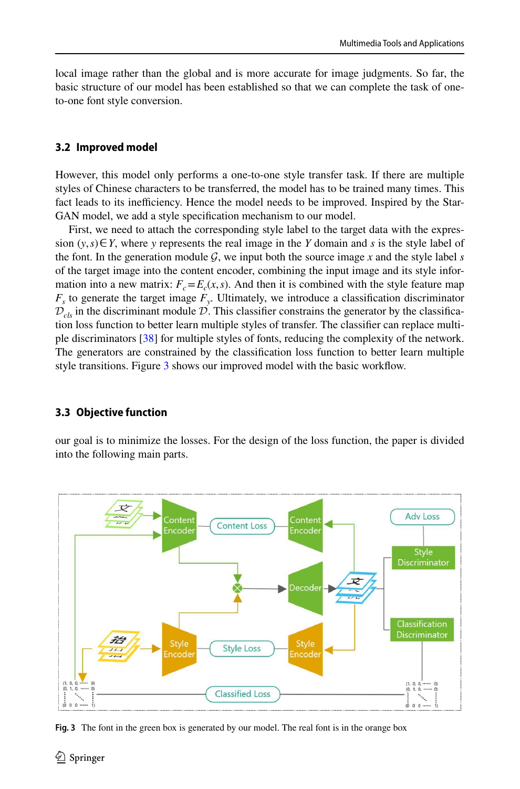local image rather than the global and is more accurate for image judgments. So far, the basic structure of our model has been established so that we can complete the task of oneto-one font style conversion.

### **3.2 Improved model**

However, this model only performs a one-to-one style transfer task. If there are multiple styles of Chinese characters to be transferred, the model has to be trained many times. This fact leads to its inefficiency. Hence the model needs to be improved. Inspired by the Star-GAN model, we add a style specification mechanism to our model.

First, we need to attach the corresponding style label to the target data with the expression  $(y, s) \in Y$ , where *y* represents the real image in the *Y* domain and *s* is the style label of the font. In the generation module  $G$ , we input both the source image x and the style label s of the target image into the content encoder, combining the input image and its style information into a new matrix:  $F_c = E_c(x, s)$ . And then it is combined with the style feature map *Fs* to generate the target image *F<sup>y</sup>* . Ultimately, we introduce a classification discriminator  $\mathcal{D}_{cls}$  in the discriminant module  $\mathcal{D}$ . This classifier constrains the generator by the classification loss function to better learn multiple styles of transfer. The classifier can replace multi-ple discriminators [[38](#page-19-2)] for multiple styles of fonts, reducing the complexity of the network. The generators are constrained by the classification loss function to better learn multiple style transitions. Figure [3](#page-7-0) shows our improved model with the basic workflow.

#### **3.3 Objective function**

our goal is to minimize the losses. For the design of the loss function, the paper is divided into the following main parts.



<span id="page-7-0"></span>**Fig. 3** The font in the green box is generated by our model. The real font is in the orange box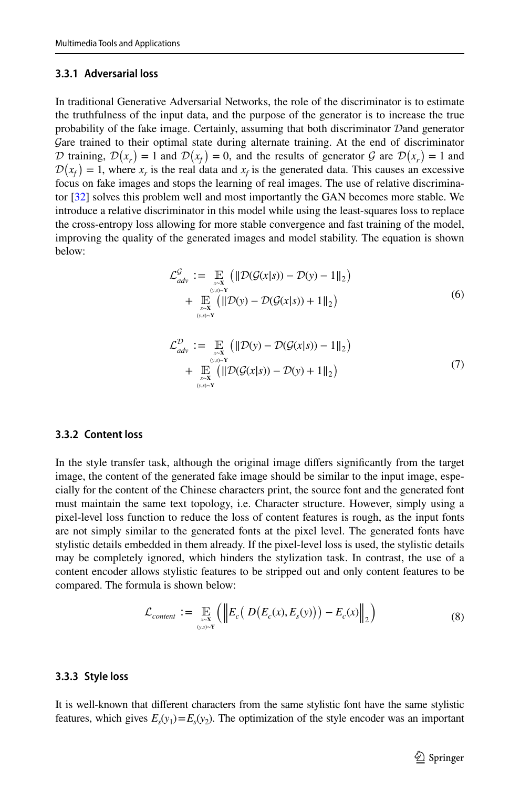### **3.3.1 Adversarial loss**

In traditional Generative Adversarial Networks, the role of the discriminator is to estimate the truthfulness of the input data, and the purpose of the generator is to increase the true probability of the fake image. Certainly, assuming that both discriminator Dand generator Gare trained to their optimal state during alternate training. At the end of discriminator D training,  $\mathcal{D}(x_r) = 1$  and  $\mathcal{D}(x_f) = 0$ , and the results of generator  $\mathcal{G}$  are  $\mathcal{D}(x_r) = 1$  and  $\mathcal{D}(x_f) = 1$ , where  $x_r$  is the real data and  $x_f$  is the generated data. This causes an excessive focus on fake images and stops the learning of real images. The use of relative discriminator [\[32\]](#page-18-8) solves this problem well and most importantly the GAN becomes more stable. We introduce a relative discriminator in this model while using the least-squares loss to replace the cross-entropy loss allowing for more stable convergence and fast training of the model, improving the quality of the generated images and model stability. The equation is shown below:

$$
\mathcal{L}_{adv}^{\mathcal{G}} := \mathop{\mathbb{E}}_{\substack{x \sim \mathbf{X} \\ (y, s) \sim \mathbf{Y}}} \left( \|\mathcal{D}(\mathcal{G}(x|s)) - \mathcal{D}(y) - 1\|_{2} \right) \n+ \mathop{\mathbb{E}}_{\substack{x \sim \mathbf{X} \\ (y, s) \sim \mathbf{Y}}} \left( \|\mathcal{D}(y) - \mathcal{D}(\mathcal{G}(x|s)) + 1\|_{2} \right)
$$
\n(6)

$$
\mathcal{L}_{adv}^{\mathcal{D}} := \mathop{\mathbb{E}}_{\substack{x \sim \mathbf{X} \\ (y,s) \sim \mathbf{Y} \\ y \sim \mathbf{Y}}} \left( \|\mathcal{D}(y) - \mathcal{D}(\mathcal{G}(x|s)) - 1\|_{2} \right) \\ + \mathop{\mathbb{E}}_{\substack{x \sim \mathbf{X} \\ (y,s) \sim \mathbf{Y}}} \left( \|\mathcal{D}(\mathcal{G}(x|s)) - \mathcal{D}(y) + 1\|_{2} \right) \tag{7}
$$

### **3.3.2 Content loss**

In the style transfer task, although the original image differs significantly from the target image, the content of the generated fake image should be similar to the input image, especially for the content of the Chinese characters print, the source font and the generated font must maintain the same text topology, i.e. Character structure. However, simply using a pixel-level loss function to reduce the loss of content features is rough, as the input fonts are not simply similar to the generated fonts at the pixel level. The generated fonts have stylistic details embedded in them already. If the pixel-level loss is used, the stylistic details may be completely ignored, which hinders the stylization task. In contrast, the use of a content encoder allows stylistic features to be stripped out and only content features to be compared. The formula is shown below:

$$
\mathcal{L}_{content} := \mathop{\mathbb{E}}_{\substack{x \sim \mathbf{X} \\ (y,s) \sim \mathbf{Y}}} \left( \left\| E_c \left( D \left( E_c(x), E_s(y) \right) \right) - E_c(x) \right\|_2 \right) \tag{8}
$$

#### **3.3.3 Style loss**

It is well-known that different characters from the same stylistic font have the same stylistic features, which gives  $E_s(y_1) = E_s(y_2)$ . The optimization of the style encoder was an important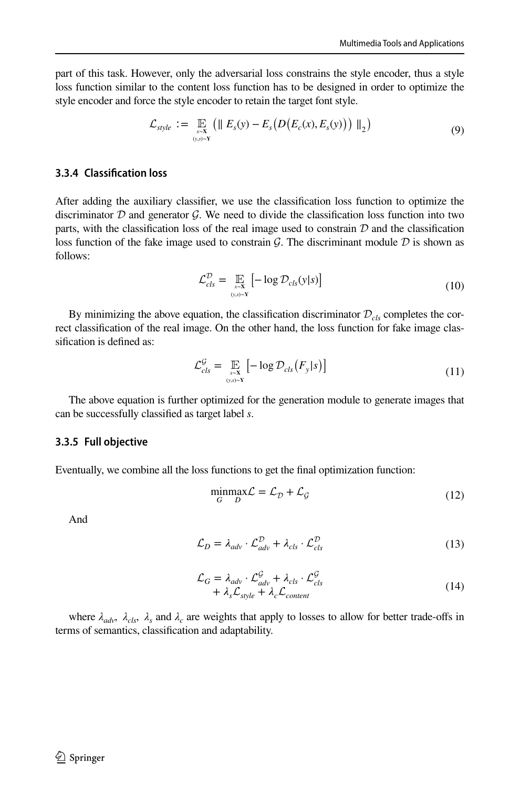part of this task. However, only the adversarial loss constrains the style encoder, thus a style loss function similar to the content loss function has to be designed in order to optimize the style encoder and force the style encoder to retain the target font style.

$$
\mathcal{L}_{style} := \mathop{\mathbb{E}}_{\substack{x \sim X \\ (y,s) \sim Y}} \left( \parallel E_s(y) - E_s \left( D \left( E_c(x), E_s(y) \right) \right) \parallel_2 \right) \tag{9}
$$

# **3.3.4 Classification loss**

After adding the auxiliary classifier, we use the classification loss function to optimize the discriminator  $D$  and generator  $G$ . We need to divide the classification loss function into two parts, with the classification loss of the real image used to constrain  $D$  and the classification loss function of the fake image used to constrain  $\mathcal G$ . The discriminant module  $\mathcal D$  is shown as follows:

$$
\mathcal{L}_{cls}^{\mathcal{D}} = \mathop{\mathbb{E}}_{\substack{x \sim \mathbf{X} \\ (y, s) \sim \mathbf{Y}}} \left[ -\log \mathcal{D}_{cls}(y|s) \right] \tag{10}
$$

By minimizing the above equation, the classification discriminator  $\mathcal{D}_{cls}$  completes the correct classification of the real image. On the other hand, the loss function for fake image classification is defined as:

$$
\mathcal{L}_{cls}^{\mathcal{G}} = \mathop{\mathbb{E}}_{\substack{x \sim \mathbf{X} \\ (y, s) \sim \mathbf{Y}}} \left[ -\log \mathcal{D}_{cls} \left( F_y | s \right) \right] \tag{11}
$$

The above equation is further optimized for the generation module to generate images that can be successfully classified as target label *s*.

#### **3.3.5 Full objective**

Eventually, we combine all the loss functions to get the final optimization function:

$$
\underset{G}{\text{minmax}} \mathcal{L} = \mathcal{L}_{\mathcal{D}} + \mathcal{L}_{\mathcal{G}} \tag{12}
$$

And

$$
\mathcal{L}_D = \lambda_{adv} \cdot \mathcal{L}_{adv}^{\mathcal{D}} + \lambda_{cls} \cdot \mathcal{L}_{cls}^{\mathcal{D}}
$$
\n(13)

$$
\mathcal{L}_G = \lambda_{adv} \cdot \mathcal{L}_{adv}^{\mathcal{G}} + \lambda_{cls} \cdot \mathcal{L}_{cls}^{\mathcal{G}} \n+ \lambda_s \mathcal{L}_{style} + \lambda_c \mathcal{L}_{content}
$$
\n(14)

where  $\lambda_{adv}$ ,  $\lambda_{cls}$ ,  $\lambda_s$  and  $\lambda_c$  are weights that apply to losses to allow for better trade-offs in terms of semantics, classification and adaptability.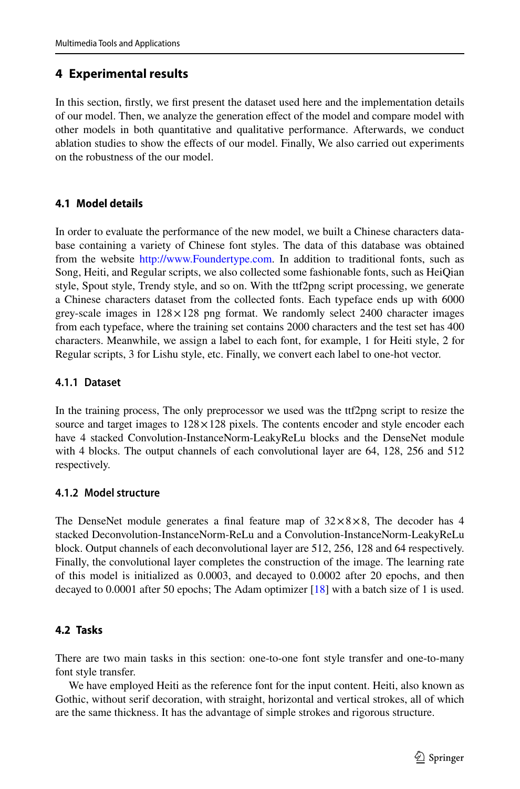# <span id="page-10-0"></span>**4 Experimental results**

In this section, firstly, we first present the dataset used here and the implementation details of our model. Then, we analyze the generation effect of the model and compare model with other models in both quantitative and qualitative performance. Afterwards, we conduct ablation studies to show the effects of our model. Finally, We also carried out experiments on the robustness of the our model.

# **4.1 Model details**

In order to evaluate the performance of the new model, we built a Chinese characters database containing a variety of Chinese font styles. The data of this database was obtained from the website http://www.Foundertype.com. In addition to traditional fonts, such as Song, Heiti, and Regular scripts, we also collected some fashionable fonts, such as HeiQian style, Spout style, Trendy style, and so on. With the ttf2png script processing, we generate a Chinese characters dataset from the collected fonts. Each typeface ends up with 6000 grey-scale images in  $128 \times 128$  png format. We randomly select 2400 character images from each typeface, where the training set contains 2000 characters and the test set has 400 characters. Meanwhile, we assign a label to each font, for example, 1 for Heiti style, 2 for Regular scripts, 3 for Lishu style, etc. Finally, we convert each label to one-hot vector.

# **4.1.1 Dataset**

In the training process, The only preprocessor we used was the ttf2png script to resize the source and target images to  $128 \times 128$  pixels. The contents encoder and style encoder each have 4 stacked Convolution-InstanceNorm-LeakyReLu blocks and the DenseNet module with 4 blocks. The output channels of each convolutional layer are 64, 128, 256 and 512 respectively.

# **4.1.2 Model structure**

The DenseNet module generates a final feature map of  $32 \times 8 \times 8$ , The decoder has 4 stacked Deconvolution-InstanceNorm-ReLu and a Convolution-InstanceNorm-LeakyReLu block. Output channels of each deconvolutional layer are 512, 256, 128 and 64 respectively. Finally, the convolutional layer completes the construction of the image. The learning rate of this model is initialized as 0.0003, and decayed to 0.0002 after 20 epochs, and then decayed to 0.0001 after 50 epochs; The Adam optimizer [[18](#page-18-24)] with a batch size of 1 is used.

# **4.2 Tasks**

There are two main tasks in this section: one-to-one font style transfer and one-to-many font style transfer.

We have employed Heiti as the reference font for the input content. Heiti, also known as Gothic, without serif decoration, with straight, horizontal and vertical strokes, all of which are the same thickness. It has the advantage of simple strokes and rigorous structure.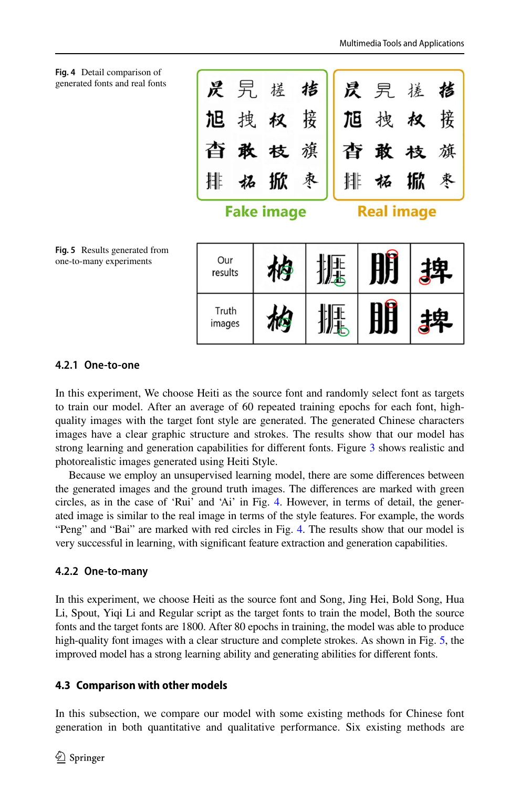<span id="page-11-0"></span>

# <span id="page-11-1"></span>**4.2.1 One‑to‑one**

In this experiment, We choose Heiti as the source font and randomly select font as targets to train our model. After an average of 60 repeated training epochs for each font, highquality images with the target font style are generated. The generated Chinese characters images have a clear graphic structure and strokes. The results show that our model has strong learning and generation capabilities for different fonts. Figure [3](#page-7-0) shows realistic and photorealistic images generated using Heiti Style.

Because we employ an unsupervised learning model, there are some differences between the generated images and the ground truth images. The differences are marked with green circles, as in the case of 'Rui' and 'Ai' in Fig. [4](#page-11-0). However, in terms of detail, the generated image is similar to the real image in terms of the style features. For example, the words "Peng" and "Bai" are marked with red circles in Fig. [4.](#page-11-0) The results show that our model is very successful in learning, with significant feature extraction and generation capabilities.

# **4.2.2 One‑to‑many**

In this experiment, we choose Heiti as the source font and Song, Jing Hei, Bold Song, Hua Li, Spout, Yiqi Li and Regular script as the target fonts to train the model, Both the source fonts and the target fonts are 1800. After 80 epochs in training, the model was able to produce high-quality font images with a clear structure and complete strokes. As shown in Fig. [5](#page-11-1), the improved model has a strong learning ability and generating abilities for different fonts.

# **4.3 Comparison with other models**

In this subsection, we compare our model with some existing methods for Chinese font generation in both quantitative and qualitative performance. Six existing methods are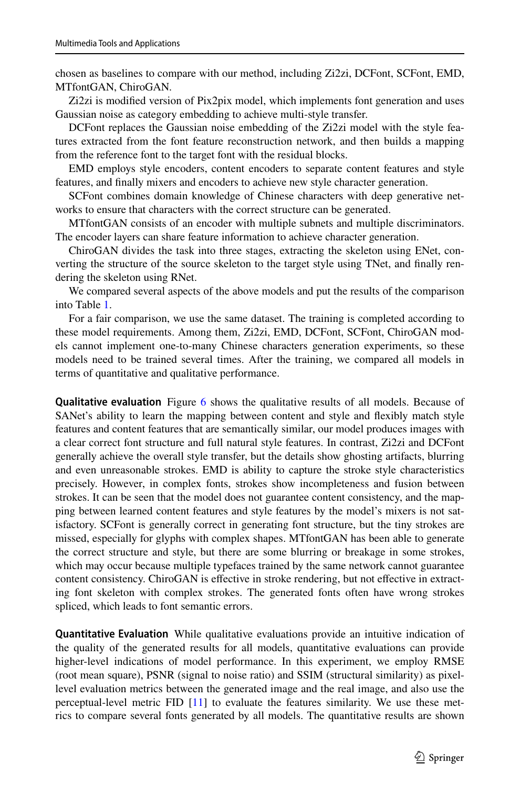chosen as baselines to compare with our method, including Zi2zi, DCFont, SCFont, EMD, MTfontGAN, ChiroGAN.

Zi2zi is modified version of Pix2pix model, which implements font generation and uses Gaussian noise as category embedding to achieve multi-style transfer.

DCFont replaces the Gaussian noise embedding of the Zi2zi model with the style features extracted from the font feature reconstruction network, and then builds a mapping from the reference font to the target font with the residual blocks.

EMD employs style encoders, content encoders to separate content features and style features, and finally mixers and encoders to achieve new style character generation.

SCFont combines domain knowledge of Chinese characters with deep generative networks to ensure that characters with the correct structure can be generated.

MTfontGAN consists of an encoder with multiple subnets and multiple discriminators. The encoder layers can share feature information to achieve character generation.

ChiroGAN divides the task into three stages, extracting the skeleton using ENet, converting the structure of the source skeleton to the target style using TNet, and finally rendering the skeleton using RNet.

We compared several aspects of the above models and put the results of the comparison into Table [1](#page-13-0).

For a fair comparison, we use the same dataset. The training is completed according to these model requirements. Among them, Zi2zi, EMD, DCFont, SCFont, ChiroGAN models cannot implement one-to-many Chinese characters generation experiments, so these models need to be trained several times. After the training, we compared all models in terms of quantitative and qualitative performance.

**Qualitative evaluation** Figure [6](#page-14-0) shows the qualitative results of all models. Because of SANet's ability to learn the mapping between content and style and flexibly match style features and content features that are semantically similar, our model produces images with a clear correct font structure and full natural style features. In contrast, Zi2zi and DCFont generally achieve the overall style transfer, but the details show ghosting artifacts, blurring and even unreasonable strokes. EMD is ability to capture the stroke style characteristics precisely. However, in complex fonts, strokes show incompleteness and fusion between strokes. It can be seen that the model does not guarantee content consistency, and the mapping between learned content features and style features by the model's mixers is not satisfactory. SCFont is generally correct in generating font structure, but the tiny strokes are missed, especially for glyphs with complex shapes. MTfontGAN has been able to generate the correct structure and style, but there are some blurring or breakage in some strokes, which may occur because multiple typefaces trained by the same network cannot guarantee content consistency. ChiroGAN is effective in stroke rendering, but not effective in extracting font skeleton with complex strokes. The generated fonts often have wrong strokes spliced, which leads to font semantic errors.

**Quantitative Evaluation** While qualitative evaluations provide an intuitive indication of the quality of the generated results for all models, quantitative evaluations can provide higher-level indications of model performance. In this experiment, we employ RMSE (root mean square), PSNR (signal to noise ratio) and SSIM (structural similarity) as pixellevel evaluation metrics between the generated image and the real image, and also use the perceptual-level metric FID [[11](#page-18-25)] to evaluate the features similarity. We use these metrics to compare several fonts generated by all models. The quantitative results are shown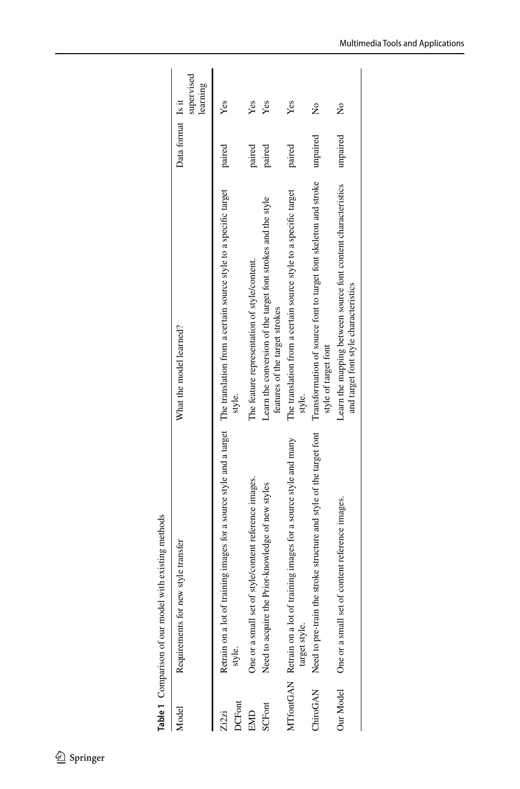| Model                 | Requirements for new style transfer                                                                                                            | What the model learned?                                                                                | Data format Is it | supervised<br>learning |
|-----------------------|------------------------------------------------------------------------------------------------------------------------------------------------|--------------------------------------------------------------------------------------------------------|-------------------|------------------------|
| <b>CFont</b><br>Zi2zi | Retrain on a lot of training images for a source style and a target The translation from a certain source style to a specific target<br>style. | style.                                                                                                 | paired            | Yes                    |
| EMID                  | style/content reference images.<br>One or a small set of                                                                                       | The feature representation of style/content.                                                           | paired            | Yes                    |
| SCFont                | Need to acquire the Prior-knowledge of new styles                                                                                              | Learn the conversion of the target font strokes and the style<br>features of the target strokes        | paired            | Yes                    |
|                       | MTfontGAN Retrain on a lot of training images for a source style and many<br>target style.                                                     | The translation from a certain source style to a specific target<br>style.                             | paired            | Yes                    |
|                       | stroke structure and style of the target font<br>ChiroGAN Need to pre-train the                                                                | Transformation of source font to target font skeleton and stroke<br>style of target font               | unpaired          | ž                      |
| Our Model             | One or a small set of content reference images.                                                                                                | Learn the mapping between source font content characteristics<br>and target font style characteristics | unpaired          | ž                      |

| 2.16<br><b>PARA</b><br>ſ |  |
|--------------------------|--|
| marison of our moder     |  |
| l                        |  |

<span id="page-13-0"></span>

|  | Springer |
|--|----------|
|--|----------|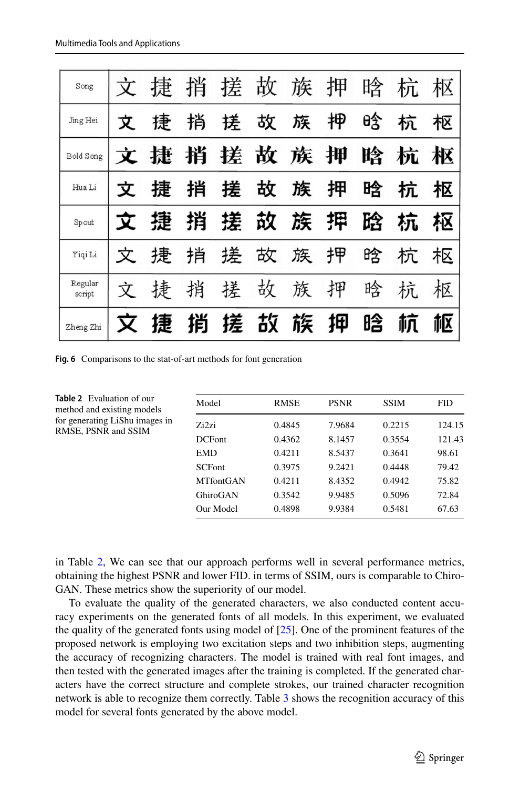| Song              |   | 捷 | 捎 | 搓 | 故 | 族 | 押 | 晗 | 杭 | 枢 |
|-------------------|---|---|---|---|---|---|---|---|---|---|
| Jing Hei          | 文 | 捷 | 捎 | 搓 | 故 | 族 | 柙 | 晗 | 杭 | 枢 |
| Bold Song         | X | 捷 | 捎 | 搓 | 故 | 族 | 押 | 晗 | 杭 | 枢 |
| Hua Li            | 文 | 捷 | 捎 | 搓 | 故 | 族 | 押 | 晗 | 杭 | 枢 |
|                   |   |   |   |   |   |   |   |   |   |   |
| Spout             |   | 捷 | 捎 | 搓 | 故 | 族 | 押 | 跲 | 杭 | 枢 |
| Yiqi Li           | 文 | 捷 | 捎 | 搓 | 故 | 族 | 押 | 晗 | 杌 | 枢 |
| Regular<br>script | 文 | 捸 | 捎 | 搓 | 故 | 族 | 押 | 晗 | 抗 | 枢 |

<span id="page-14-0"></span>**Fig. 6** Comparisons to the stat-of-art methods for font generation

| Model             | <b>RMSE</b> | <b>PSNR</b> | <b>SSIM</b> | FID.   |
|-------------------|-------------|-------------|-------------|--------|
| Zi <sub>2zi</sub> | 0.4845      | 7.9684      | 0.2215      | 124.15 |
| <b>DCFont</b>     | 0.4362      | 8.1457      | 0.3554      | 121.43 |
| EMD               | 0.4211      | 8.5437      | 0.3641      | 98.61  |
| <b>SCFont</b>     | 0.3975      | 9.2421      | 0.4448      | 79.42  |
| <b>MTfontGAN</b>  | 0.4211      | 8.4352      | 0.4942      | 75.82  |
| GhiroGAN          | 0.3542      | 9.9485      | 0.5096      | 72.84  |
| Our Model         | 0.4898      | 9.9384      | 0.5481      | 67.63  |

<span id="page-14-1"></span>**Table 2** Evaluation of our method and existing models for generating LiShu images in RMSE, PSNR and SSIM

in Table [2,](#page-14-1) We can see that our approach performs well in several performance metrics, obtaining the highest PSNR and lower FID. in terms of SSIM, ours is comparable to Chiro-GAN. These metrics show the superiority of our model.

To evaluate the quality of the generated characters, we also conducted content accuracy experiments on the generated fonts of all models. In this experiment, we evaluated the quality of the generated fonts using model of  $[25]$  $[25]$  $[25]$ . One of the prominent features of the proposed network is employing two excitation steps and two inhibition steps, augmenting the accuracy of recognizing characters. The model is trained with real font images, and then tested with the generated images after the training is completed. If the generated characters have the correct structure and complete strokes, our trained character recognition network is able to recognize them correctly. Table [3](#page-15-0) shows the recognition accuracy of this model for several fonts generated by the above model.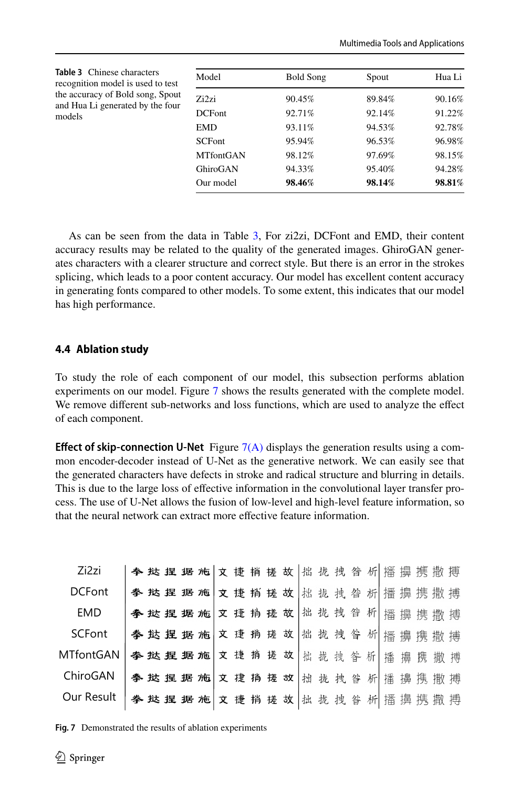<span id="page-15-0"></span>

| <b>Table 3</b> Chinese characters<br>recognition model is used to test<br>the accuracy of Bold song, Spout | Model            | <b>Bold Song</b> | Spout  | Hua Li |
|------------------------------------------------------------------------------------------------------------|------------------|------------------|--------|--------|
|                                                                                                            | Zi2zi            | 90.45%           | 89.84% | 90.16% |
| and Hua Li generated by the four<br>models                                                                 | <b>DCFont</b>    | 92.71%           | 92.14% | 91.22% |
|                                                                                                            | <b>EMD</b>       | 93.11%           | 94.53% | 92.78% |
|                                                                                                            | <b>SCFont</b>    | 95.94%           | 96.53% | 96.98% |
|                                                                                                            | <b>MTfontGAN</b> | 98.12%           | 97.69% | 98.15% |
|                                                                                                            | GhiroGAN         | 94.33%           | 95.40% | 94.28% |
|                                                                                                            | Our model        | 98.46%           | 98.14% | 98.81% |

As can be seen from the data in Table [3,](#page-15-0) For zi2zi, DCFont and EMD, their content accuracy results may be related to the quality of the generated images. GhiroGAN generates characters with a clearer structure and correct style. But there is an error in the strokes splicing, which leads to a poor content accuracy. Our model has excellent content accuracy in generating fonts compared to other models. To some extent, this indicates that our model has high performance.

# **4.4 Ablation study**

To study the role of each component of our model, this subsection performs ablation experiments on our model. Figure [7](#page-15-1) shows the results generated with the complete model. We remove different sub-networks and loss functions, which are used to analyze the effect of each component.

**Effect of skip-connection U-Net** Figure [7\(A\)](#page-15-1) displays the generation results using a common encoder-decoder instead of U-Net as the generative network. We can easily see that the generated characters have defects in stroke and radical structure and blurring in details. This is due to the large loss of effective information in the convolutional layer transfer process. The use of U-Net allows the fusion of low-level and high-level feature information, so that the neural network can extract more effective feature information.

| Zi2zi         | 李 挞 捏 据 施 文 捷 捎 搓 故 拙 拢 拽 昝 析 播 擤 携 撒 搏   |  |  |  |  |  |  |  |  |  |
|---------------|-------------------------------------------|--|--|--|--|--|--|--|--|--|
| <b>DCFont</b> | 李 挞 捏 据 施 文 捷 捎 搓 故 挑 拢 拽 昝 析 播 擤 携 撒 搏   |  |  |  |  |  |  |  |  |  |
| EMD           | 李 挞 捏 据 施 文 捷 捐 搓 故 出 拢 拽 昝 析   播 擤 携 撒 搏 |  |  |  |  |  |  |  |  |  |
| SCFont        | 拳 挞 捏 据 施 文 捷 捎 瑳 故 拙 拢 拽 昝 析 播 擤 携 撒 搏   |  |  |  |  |  |  |  |  |  |
| MTfontGAN     | 李挞捏据施文捷捎搓故都拢拽昝析播擤携撒搏                      |  |  |  |  |  |  |  |  |  |
| ChiroGAN      | 拳 挞 捏 据 施 文 捷 捎 搓 故 拙 拢 拽 昝 析 播 擤 携 撒 搏   |  |  |  |  |  |  |  |  |  |
| Our Result    | 拳 挞 捏 据 施 文 捷 捎 搓 故 批 拢 拽 昝 析 播 擤 携 撒 搏   |  |  |  |  |  |  |  |  |  |

<span id="page-15-1"></span>**Fig. 7** Demonstrated the results of ablation experiments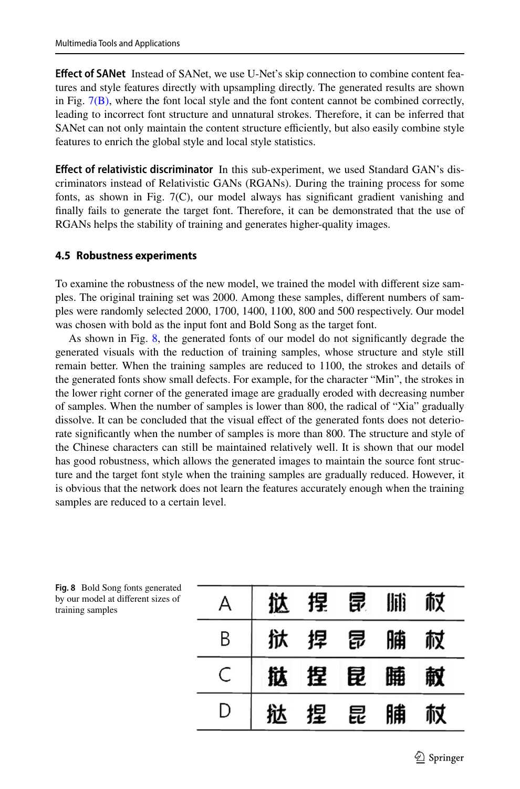**Effect of SANet** Instead of SANet, we use U-Net's skip connection to combine content features and style features directly with upsampling directly. The generated results are shown in Fig.  $7(B)$ , where the font local style and the font content cannot be combined correctly, leading to incorrect font structure and unnatural strokes. Therefore, it can be inferred that SANet can not only maintain the content structure efficiently, but also easily combine style features to enrich the global style and local style statistics.

**Effect of relativistic discriminator** In this sub-experiment, we used Standard GAN's discriminators instead of Relativistic GANs (RGANs). During the training process for some fonts, as shown in Fig. 7(C), our model always has significant gradient vanishing and finally fails to generate the target font. Therefore, it can be demonstrated that the use of RGANs helps the stability of training and generates higher-quality images.

# **4.5 Robustness experiments**

To examine the robustness of the new model, we trained the model with different size samples. The original training set was 2000. Among these samples, different numbers of samples were randomly selected 2000, 1700, 1400, 1100, 800 and 500 respectively. Our model was chosen with bold as the input font and Bold Song as the target font.

As shown in Fig. [8](#page-16-0), the generated fonts of our model do not significantly degrade the generated visuals with the reduction of training samples, whose structure and style still remain better. When the training samples are reduced to 1100, the strokes and details of the generated fonts show small defects. For example, for the character "Min", the strokes in the lower right corner of the generated image are gradually eroded with decreasing number of samples. When the number of samples is lower than 800, the radical of "Xia" gradually dissolve. It can be concluded that the visual effect of the generated fonts does not deteriorate significantly when the number of samples is more than 800. The structure and style of the Chinese characters can still be maintained relatively well. It is shown that our model has good robustness, which allows the generated images to maintain the source font structure and the target font style when the training samples are gradually reduced. However, it is obvious that the network does not learn the features accurately enough when the training samples are reduced to a certain level.

|   | 挞 | 捏     | 昆 | Hili | 杖 |  |
|---|---|-------|---|------|---|--|
| B |   | 狱 捍 昆 |   | 脯    | 杖 |  |
|   |   | 挞 捏 昆 |   | 睡    | 敵 |  |
|   |   | 捏     | 昆 | 脯    |   |  |

<span id="page-16-0"></span>**Fig. 8** Bold Song fonts generated by our model at different sizes of training samples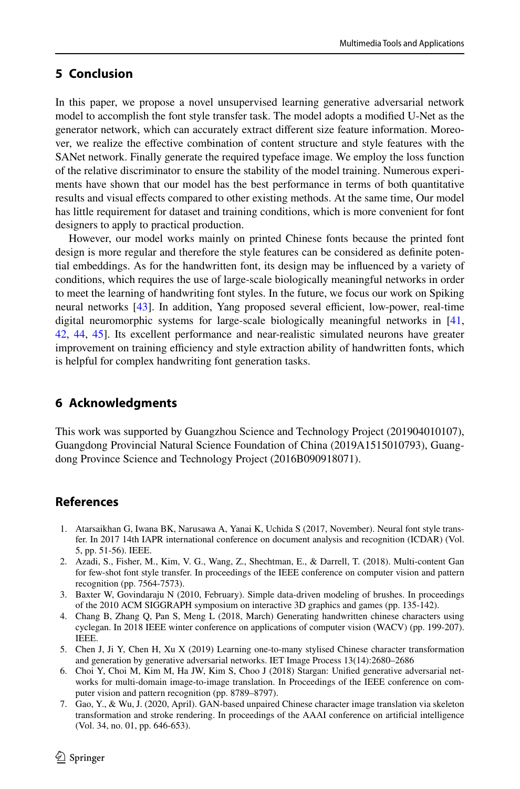# <span id="page-17-4"></span>**5 Conclusion**

In this paper, we propose a novel unsupervised learning generative adversarial network model to accomplish the font style transfer task. The model adopts a modified U-Net as the generator network, which can accurately extract different size feature information. Moreover, we realize the effective combination of content structure and style features with the SANet network. Finally generate the required typeface image. We employ the loss function of the relative discriminator to ensure the stability of the model training. Numerous experiments have shown that our model has the best performance in terms of both quantitative results and visual effects compared to other existing methods. At the same time, Our model has little requirement for dataset and training conditions, which is more convenient for font designers to apply to practical production.

However, our model works mainly on printed Chinese fonts because the printed font design is more regular and therefore the style features can be considered as definite potential embeddings. As for the handwritten font, its design may be influenced by a variety of conditions, which requires the use of large-scale biologically meaningful networks in order to meet the learning of handwriting font styles. In the future, we focus our work on Spiking neural networks [[43](#page-19-14)]. In addition, Yang proposed several efficient, low-power, real-time digital neuromorphic systems for large-scale biologically meaningful networks in [[41](#page-19-15), [42](#page-19-16), [44,](#page-19-17) [45\]](#page-19-18). Its excellent performance and near-realistic simulated neurons have greater improvement on training efficiency and style extraction ability of handwritten fonts, which is helpful for complex handwriting font generation tasks.

# **6 Acknowledgments**

This work was supported by Guangzhou Science and Technology Project (201904010107), Guangdong Provincial Natural Science Foundation of China (2019A1515010793), Guangdong Province Science and Technology Project (2016B090918071).

# **References**

- <span id="page-17-1"></span> 1. Atarsaikhan G, Iwana BK, Narusawa A, Yanai K, Uchida S (2017, November). Neural font style transfer. In 2017 14th IAPR international conference on document analysis and recognition (ICDAR) (Vol. 5, pp. 51-56). IEEE.
- <span id="page-17-0"></span> 2. Azadi, S., Fisher, M., Kim, V. G., Wang, Z., Shechtman, E., & Darrell, T. (2018). Multi-content Gan for few-shot font style transfer. In proceedings of the IEEE conference on computer vision and pattern recognition (pp. 7564-7573).
- <span id="page-17-5"></span> 3. Baxter W, Govindaraju N (2010, February). Simple data-driven modeling of brushes. In proceedings of the 2010 ACM SIGGRAPH symposium on interactive 3D graphics and games (pp. 135-142).
- <span id="page-17-7"></span> 4. Chang B, Zhang Q, Pan S, Meng L (2018, March) Generating handwritten chinese characters using cyclegan. In 2018 IEEE winter conference on applications of computer vision (WACV) (pp. 199-207). IEEE.
- <span id="page-17-3"></span> 5. Chen J, Ji Y, Chen H, Xu X (2019) Learning one-to-many stylised Chinese character transformation and generation by generative adversarial networks. IET Image Process 13(14):2680–2686
- <span id="page-17-6"></span> 6. Choi Y, Choi M, Kim M, Ha JW, Kim S, Choo J (2018) Stargan: Unified generative adversarial networks for multi-domain image-to-image translation. In Proceedings of the IEEE conference on computer vision and pattern recognition (pp. 8789–8797).
- <span id="page-17-2"></span> 7. Gao, Y., & Wu, J. (2020, April). GAN-based unpaired Chinese character image translation via skeleton transformation and stroke rendering. In proceedings of the AAAI conference on artificial intelligence (Vol. 34, no. 01, pp. 646-653).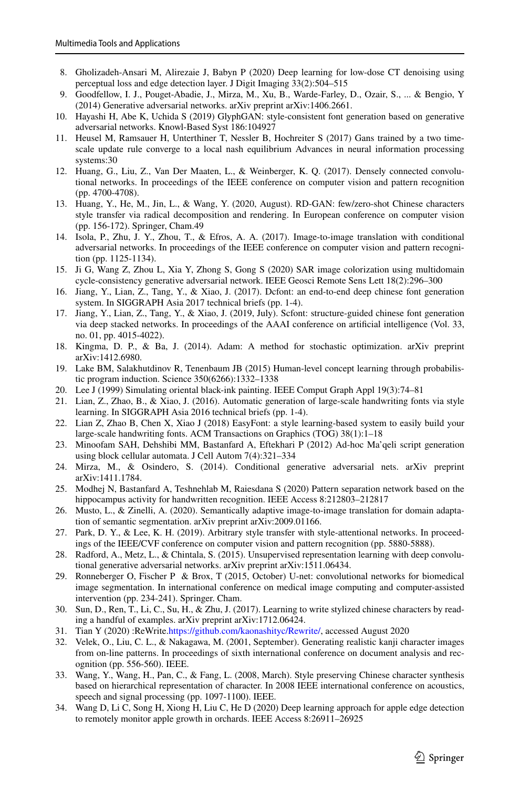- <span id="page-18-10"></span> 8. Gholizadeh-Ansari M, Alirezaie J, Babyn P (2020) Deep learning for low-dose CT denoising using perceptual loss and edge detection layer. J Digit Imaging 33(2):504–515
- <span id="page-18-15"></span> 9. Goodfellow, I. J., Pouget-Abadie, J., Mirza, M., Xu, B., Warde-Farley, D., Ozair, S., ... & Bengio, Y (2014) Generative adversarial networks. arXiv preprint arXiv:1406.2661.
- <span id="page-18-0"></span> 10. Hayashi H, Abe K, Uchida S (2019) GlyphGAN: style-consistent font generation based on generative adversarial networks. Knowl-Based Syst 186:104927
- <span id="page-18-25"></span> 11. Heusel M, Ramsauer H, Unterthiner T, Nessler B, Hochreiter S (2017) Gans trained by a two timescale update rule converge to a local nash equilibrium Advances in neural information processing systems:30
- <span id="page-18-23"></span> 12. Huang, G., Liu, Z., Van Der Maaten, L., & Weinberger, K. Q. (2017). Densely connected convolutional networks. In proceedings of the IEEE conference on computer vision and pattern recognition (pp. 4700-4708).
- <span id="page-18-21"></span> 13. Huang, Y., He, M., Jin, L., & Wang, Y. (2020, August). RD-GAN: few/zero-shot Chinese characters style transfer via radical decomposition and rendering. In European conference on computer vision (pp. 156-172). Springer, Cham.49
- <span id="page-18-18"></span> 14. Isola, P., Zhu, J. Y., Zhou, T., & Efros, A. A. (2017). Image-to-image translation with conditional adversarial networks. In proceedings of the IEEE conference on computer vision and pattern recognition (pp. 1125-1134).
- <span id="page-18-9"></span> 15. Ji G, Wang Z, Zhou L, Xia Y, Zhong S, Gong S (2020) SAR image colorization using multidomain cycle-consistency generative adversarial network. IEEE Geosci Remote Sens Lett 18(2):296–300
- <span id="page-18-19"></span> 16. Jiang, Y., Lian, Z., Tang, Y., & Xiao, J. (2017). Dcfont: an end-to-end deep chinese font generation system. In SIGGRAPH Asia 2017 technical briefs (pp. 1-4).
- <span id="page-18-3"></span> 17. Jiang, Y., Lian, Z., Tang, Y., & Xiao, J. (2019, July). Scfont: structure-guided chinese font generation via deep stacked networks. In proceedings of the AAAI conference on artificial intelligence (Vol. 33, no. 01, pp. 4015-4022).
- <span id="page-18-24"></span> 18. Kingma, D. P., & Ba, J. (2014). Adam: A method for stochastic optimization. arXiv preprint arXiv:1412.6980.
- <span id="page-18-1"></span> 19. Lake BM, Salakhutdinov R, Tenenbaum JB (2015) Human-level concept learning through probabilistic program induction. Science 350(6266):1332–1338
- <span id="page-18-5"></span>20. Lee J (1999) Simulating oriental black-ink painting. IEEE Comput Graph Appl 19(3):74–81
- <span id="page-18-6"></span> 21. Lian, Z., Zhao, B., & Xiao, J. (2016). Automatic generation of large-scale handwriting fonts via style learning. In SIGGRAPH Asia 2016 technical briefs (pp. 1-4).
- <span id="page-18-14"></span> 22. Lian Z, Zhao B, Chen X, Xiao J (2018) EasyFont: a style learning-based system to easily build your large-scale handwriting fonts. ACM Transactions on Graphics (TOG) 38(1):1–18
- <span id="page-18-2"></span> 23. Minoofam SAH, Dehshibi MM, Bastanfard A, Eftekhari P (2012) Ad-hoc Ma'qeli script generation using block cellular automata. J Cell Autom 7(4):321–334
- <span id="page-18-16"></span> 24. Mirza, M., & Osindero, S. (2014). Conditional generative adversarial nets. arXiv preprint arXiv:1411.1784.
- <span id="page-18-26"></span> 25. Modhej N, Bastanfard A, Teshnehlab M, Raiesdana S (2020) Pattern separation network based on the hippocampus activity for handwritten recognition. IEEE Access 8:212803–212817
- <span id="page-18-12"></span> 26. Musto, L., & Zinelli, A. (2020). Semantically adaptive image-to-image translation for domain adaptation of semantic segmentation. arXiv preprint arXiv:2009.01166.
- <span id="page-18-22"></span> 27. Park, D. Y., & Lee, K. H. (2019). Arbitrary style transfer with style-attentional networks. In proceedings of the IEEE/CVF conference on computer vision and pattern recognition (pp. 5880-5888).
- <span id="page-18-17"></span> 28. Radford, A., Metz, L., & Chintala, S. (2015). Unsupervised representation learning with deep convolutional generative adversarial networks. arXiv preprint arXiv:1511.06434.
- <span id="page-18-4"></span> 29. Ronneberger O, Fischer P & Brox, T (2015, October) U-net: convolutional networks for biomedical image segmentation. In international conference on medical image computing and computer-assisted intervention (pp. 234-241). Springer. Cham.
- <span id="page-18-20"></span> 30. Sun, D., Ren, T., Li, C., Su, H., & Zhu, J. (2017). Learning to write stylized chinese characters by reading a handful of examples. arXiv preprint arXiv:1712.06424.
- <span id="page-18-13"></span>31. Tian Y (2020) :ReWrite.[https:// github. com/ kaona shityc/ Rewri te/](https://github.com/kaonashityc/Rewrite/), accessed August 2020
- <span id="page-18-8"></span> 32. Velek, O., Liu, C. L., & Nakagawa, M. (2001, September). Generating realistic kanji character images from on-line patterns. In proceedings of sixth international conference on document analysis and recognition (pp. 556-560). IEEE.
- <span id="page-18-7"></span> 33. Wang, Y., Wang, H., Pan, C., & Fang, L. (2008, March). Style preserving Chinese character synthesis based on hierarchical representation of character. In 2008 IEEE international conference on acoustics, speech and signal processing (pp. 1097-1100). IEEE.
- <span id="page-18-11"></span> 34. Wang D, Li C, Song H, Xiong H, Liu C, He D (2020) Deep learning approach for apple edge detection to remotely monitor apple growth in orchards. IEEE Access 8:26911–26925